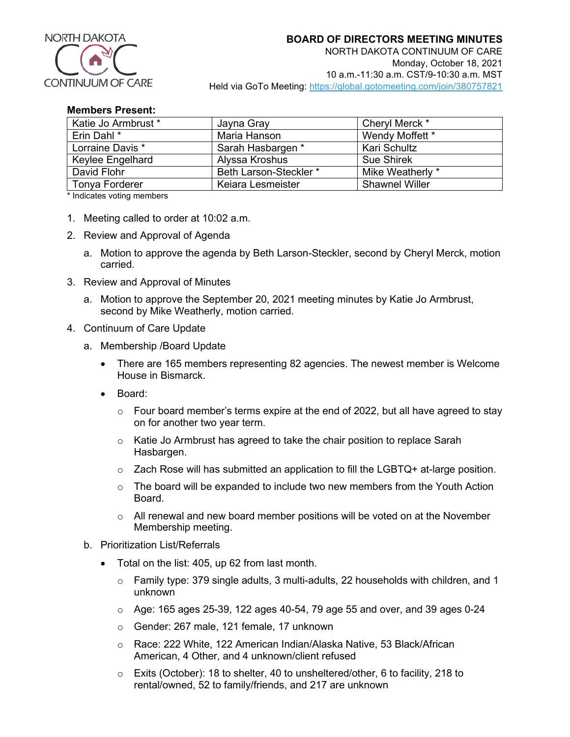

## **Members Present:**

| Katie Jo Armbrust * | Jayna Gray             | Cheryl Merck *        |
|---------------------|------------------------|-----------------------|
| Erin Dahl *         | Maria Hanson           | Wendy Moffett *       |
| Lorraine Davis *    | Sarah Hasbargen *      | <b>Kari Schultz</b>   |
| Keylee Engelhard    | Alyssa Kroshus         | <b>Sue Shirek</b>     |
| David Flohr         | Beth Larson-Steckler * | Mike Weatherly *      |
| Tonya Forderer      | Keiara Lesmeister      | <b>Shawnel Willer</b> |

\* Indicates voting members

- 1. Meeting called to order at 10:02 a.m.
- 2. Review and Approval of Agenda
	- a. Motion to approve the agenda by Beth Larson-Steckler, second by Cheryl Merck, motion carried.
- 3. Review and Approval of Minutes
	- a. Motion to approve the September 20, 2021 meeting minutes by Katie Jo Armbrust, second by Mike Weatherly, motion carried.
- 4. Continuum of Care Update
	- a. Membership /Board Update
		- There are 165 members representing 82 agencies. The newest member is Welcome House in Bismarck.
		- Board:
			- $\circ$  Four board member's terms expire at the end of 2022, but all have agreed to stay on for another two year term.
			- o Katie Jo Armbrust has agreed to take the chair position to replace Sarah Hasbargen.
			- $\circ$  Zach Rose will has submitted an application to fill the LGBTQ+ at-large position.
			- $\circ$  The board will be expanded to include two new members from the Youth Action Board.
			- $\circ$  All renewal and new board member positions will be voted on at the November Membership meeting.
	- b. Prioritization List/Referrals
		- Total on the list: 405, up 62 from last month.
			- $\circ$  Family type: 379 single adults, 3 multi-adults, 22 households with children, and 1 unknown
			- $\circ$  Age: 165 ages 25-39, 122 ages 40-54, 79 age 55 and over, and 39 ages 0-24
			- o Gender: 267 male, 121 female, 17 unknown
			- o Race: 222 White, 122 American Indian/Alaska Native, 53 Black/African American, 4 Other, and 4 unknown/client refused
			- o Exits (October): 18 to shelter, 40 to unsheltered/other, 6 to facility, 218 to rental/owned, 52 to family/friends, and 217 are unknown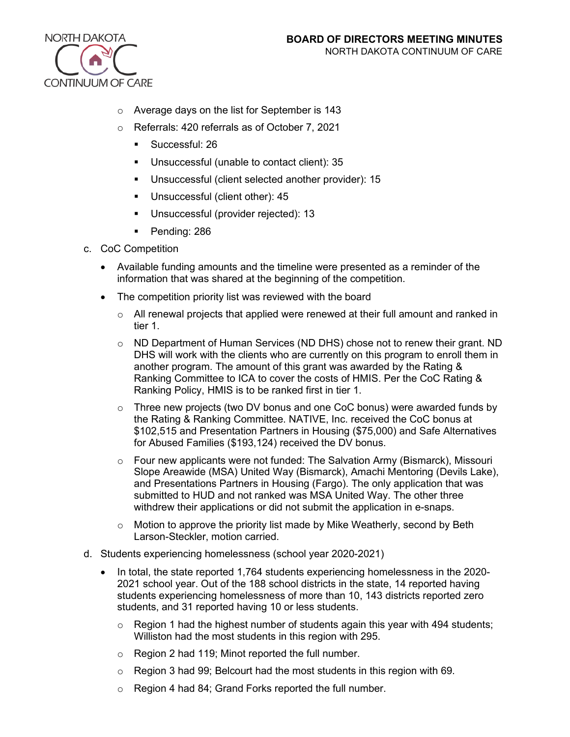

- o Average days on the list for September is 143
- o Referrals: 420 referrals as of October 7, 2021
	- **Successful: 26**
	- Unsuccessful (unable to contact client): 35
	- Unsuccessful (client selected another provider): 15
	- **Unsuccessful (client other): 45**
	- **Unsuccessful (provider rejected): 13**
	- Pending: 286
- c. CoC Competition
	- Available funding amounts and the timeline were presented as a reminder of the information that was shared at the beginning of the competition.
	- The competition priority list was reviewed with the board
		- $\circ$  All renewal projects that applied were renewed at their full amount and ranked in tier 1.
		- $\circ$  ND Department of Human Services (ND DHS) chose not to renew their grant. ND DHS will work with the clients who are currently on this program to enroll them in another program. The amount of this grant was awarded by the Rating & Ranking Committee to ICA to cover the costs of HMIS. Per the CoC Rating & Ranking Policy, HMIS is to be ranked first in tier 1.
		- $\circ$  Three new projects (two DV bonus and one CoC bonus) were awarded funds by the Rating & Ranking Committee. NATIVE, Inc. received the CoC bonus at \$102,515 and Presentation Partners in Housing (\$75,000) and Safe Alternatives for Abused Families (\$193,124) received the DV bonus.
		- o Four new applicants were not funded: The Salvation Army (Bismarck), Missouri Slope Areawide (MSA) United Way (Bismarck), Amachi Mentoring (Devils Lake), and Presentations Partners in Housing (Fargo). The only application that was submitted to HUD and not ranked was MSA United Way. The other three withdrew their applications or did not submit the application in e-snaps.
		- $\circ$  Motion to approve the priority list made by Mike Weatherly, second by Beth Larson-Steckler, motion carried.
- d. Students experiencing homelessness (school year 2020-2021)
	- In total, the state reported 1,764 students experiencing homelessness in the 2020-2021 school year. Out of the 188 school districts in the state, 14 reported having students experiencing homelessness of more than 10, 143 districts reported zero students, and 31 reported having 10 or less students.
		- $\circ$  Region 1 had the highest number of students again this year with 494 students; Williston had the most students in this region with 295.
		- o Region 2 had 119; Minot reported the full number.
		- o Region 3 had 99; Belcourt had the most students in this region with 69.
		- o Region 4 had 84; Grand Forks reported the full number.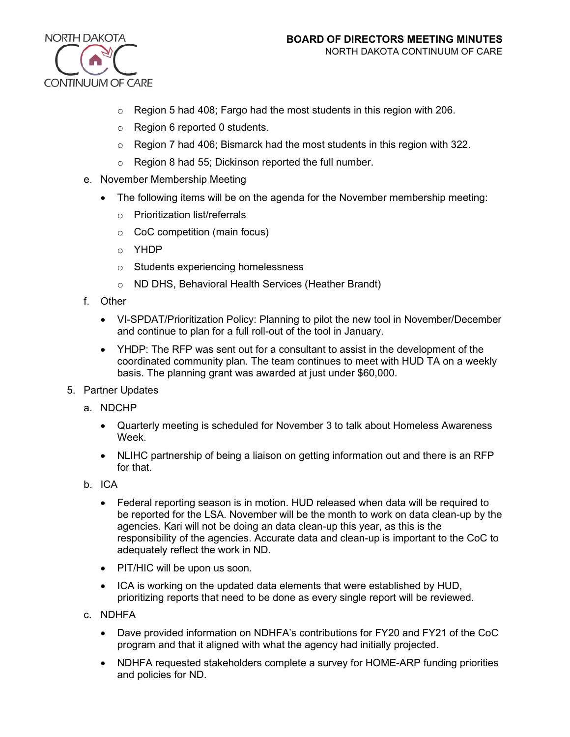

- $\circ$  Region 5 had 408; Fargo had the most students in this region with 206.
- o Region 6 reported 0 students.
- $\circ$  Region 7 had 406; Bismarck had the most students in this region with 322.
- o Region 8 had 55; Dickinson reported the full number.
- e. November Membership Meeting
	- The following items will be on the agenda for the November membership meeting:
		- o Prioritization list/referrals
		- o CoC competition (main focus)
		- o YHDP
		- o Students experiencing homelessness
		- o ND DHS, Behavioral Health Services (Heather Brandt)
- f. Other
	- VI-SPDAT/Prioritization Policy: Planning to pilot the new tool in November/December and continue to plan for a full roll-out of the tool in January.
	- YHDP: The RFP was sent out for a consultant to assist in the development of the coordinated community plan. The team continues to meet with HUD TA on a weekly basis. The planning grant was awarded at just under \$60,000.
- 5. Partner Updates
	- a. NDCHP
		- Quarterly meeting is scheduled for November 3 to talk about Homeless Awareness Week.
		- NLIHC partnership of being a liaison on getting information out and there is an RFP for that.
	- b. ICA
		- Federal reporting season is in motion. HUD released when data will be required to be reported for the LSA. November will be the month to work on data clean-up by the agencies. Kari will not be doing an data clean-up this year, as this is the responsibility of the agencies. Accurate data and clean-up is important to the CoC to adequately reflect the work in ND.
		- PIT/HIC will be upon us soon.
		- ICA is working on the updated data elements that were established by HUD, prioritizing reports that need to be done as every single report will be reviewed.
	- c. NDHFA
		- Dave provided information on NDHFA's contributions for FY20 and FY21 of the CoC program and that it aligned with what the agency had initially projected.
		- NDHFA requested stakeholders complete a survey for HOME-ARP funding priorities and policies for ND.